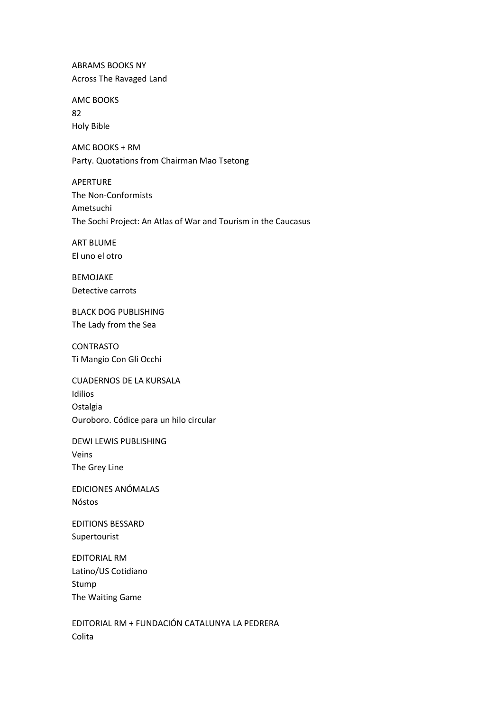**ABRAMS BOOKS NY** Across The Ravaged Land

**AMC BOOKS** 82 **Holy Bible** 

AMC BOOKS + RM Party. Quotations from Chairman Mao Tsetong

**APFRTURF** The Non-Conformists Ametsuchi The Sochi Project: An Atlas of War and Tourism in the Caucasus

**ART BLUME** El uno el otro

**BEMOJAKE** Detective carrots

**BLACK DOG PUBLISHING** The Lady from the Sea

**CONTRASTO** Ti Mangio Con Gli Occhi

**CUADERNOS DE LA KURSALA** Idilios Ostalgia Ouroboro. Códice para un hilo circular

**DEWI LEWIS PUBLISHING** Veins The Grey Line

EDICIONES ANÓMALAS Nóstos

**EDITIONS BESSARD** Supertourist

**EDITORIAL RM** Latino/US Cotidiano Stump The Waiting Game

EDITORIAL RM + FUNDACIÓN CATALUNYA LA PEDRERA Colita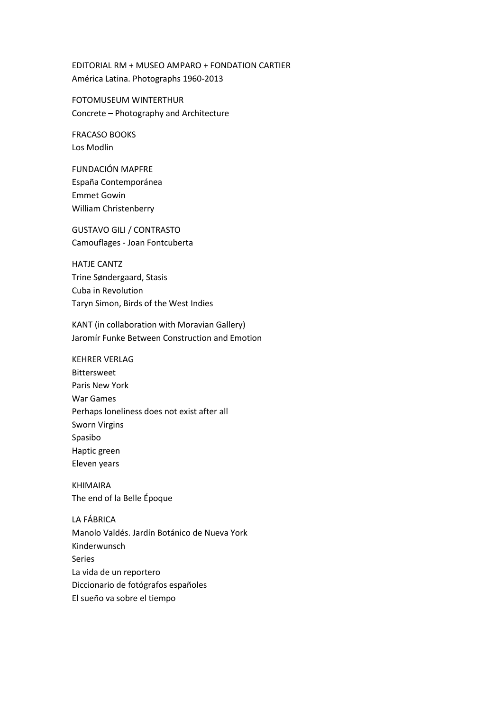EDITORIAL RM + MUSEO AMPARO + FONDATION CARTIER América Latina. Photographs 1960-2013

FOTOMUSEUM WINTERTHUR Concrete – Photography and Architecture

FRACASO BOOKS Los Modlin

FUNDACIÓN MAPFRE España Contemporánea Emmet Gowin William Christenberry

GUSTAVO GILI / CONTRASTO Camouflages - Joan Fontcuberta

HATJE CANTZ Trine Søndergaard, Stasis Cuba in Revolution Taryn Simon, Birds of the West Indies

KANT (in collaboration with Moravian Gallery) Jaromír Funke Between Construction and Emotion

KEHRER VERLAG Bittersweet Paris New York War Games Perhaps loneliness does not exist after all Sworn Virgins Spasibo Haptic green Eleven years

KHIMAIRA The end of la Belle Époque

LA FÁBRICA Manolo Valdés. Jardín Botánico de Nueva York Kinderwunsch Series La vida de un reportero Diccionario de fotógrafos españoles El sueño va sobre el tiempo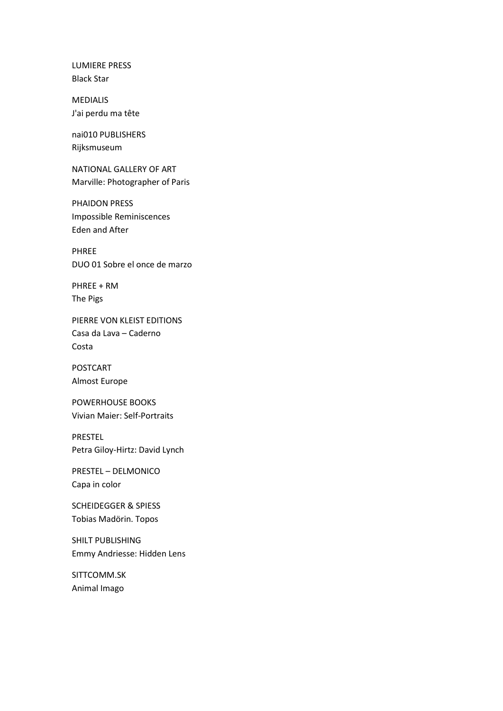LUMIERE PRESS Black Star

MEDIALIS J'ai perdu ma tête

nai010 PUBLISHERS Rijksmuseum

NATIONAL GALLERY OF ART Marville: Photographer of Paris

PHAIDON PRESS Impossible Reminiscences Eden and After

PHREE DUO 01 Sobre el once de marzo

PHREE + RM The Pigs

PIERRE VON KLEIST EDITIONS Casa da Lava – Caderno Costa

POSTCART Almost Europe

POWERHOUSE BOOKS Vivian Maier: Self-Portraits

## PRESTEL Petra Giloy-Hirtz: David Lynch

PRESTEL – DELMONICO Capa in color

SCHEIDEGGER & SPIESS Tobias Madörin. Topos

SHILT PUBLISHING Emmy Andriesse: Hidden Lens

SITTCOMM.SK Animal Imago